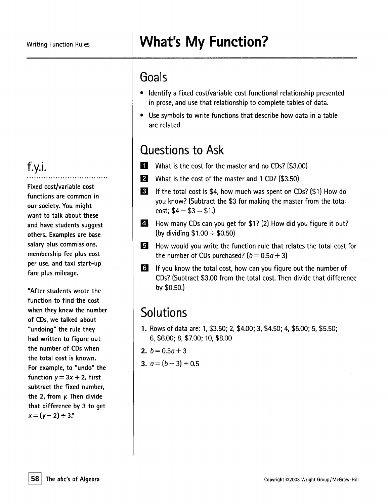#### f.y.i. ..................................

Fixed cost/variable cost functions are common in our society. You might want to talk about these and have students suggest others. Examples are base salary plus commissions, membership fee plus cost per use, and taxi start-up fare plus mileage.

"After students wrote the function to find the cost when they knew the number of CDs, we talked about "undoing" the rule they had written to figure out the number of CDswhen the total cost is known. For example, to "undo" the function  $y = 3x + 2$ , first subtract the fixed number, the 2, from *y.* Then divide that difference by 3 to get  $x = (y - 2) \div 3$ ."

## Writing Function Rules **What's My Function?**

#### Goals

- . Identify a fixed cost/variable cost functional relationship presented in prose, and use that relationship to complete tables of data.
- . Use symbols to write functions that describe how data in <sup>a</sup> table are related.

### Questions to Ask

- **I** What is the cost for the master and no CDs? (\$3.00)
- **P** What is the cost of the master and 1 CD? (\$3.50)
- I 31 If the total cost is \$4, how much was spent on CDs? (\$1) How do you know? (Subtract the \$3 for making the master from the total cost;  $$4 - $3 = $1.$ )
- E How many CDs can you get for \$1? (2) How did you figure it out? (by dividing  $$1.00 \div $0.50]$
- g How would you write the function rule that relates the total cost for the number of CDs purchased?  $(b = 0.5a + 3)$
- **If you know the total cost, how can you figure out the number of** CDs? (Subtract \$3.00 from the total cost. Then divide that difference by \$0.50.)

## **Solutions**

- 1. Rows of data are: 1, \$3.50; 2, \$4.00; 3, \$4.50; 4, \$5.00; 5, \$5.50; 6, \$6.00; 8, \$7.00; 10, \$8.00
- 2.  $b = 0.5q + 3$
- 3.  $a = (b 3) \div 0.5$